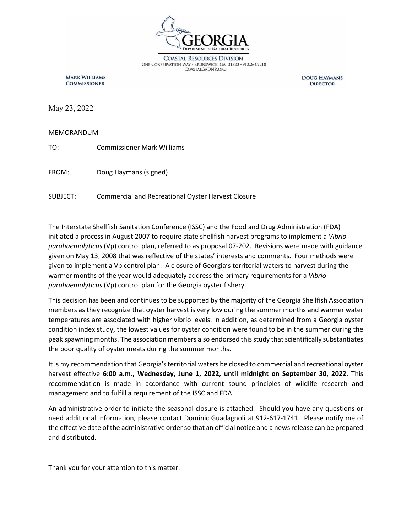

**COASTAL RESOURCES DIVISION** ONE CONSERVATION WAY · BRUNSWICK, GA 31520 · 912.264.7218 COASTALGADNR.ORG

**MARK WILLIAMS COMMISSIONER** 

**DOUG HAYMANS DIRECTOR** 

May 23, 2022

#### MEMORANDUM

TO: Commissioner Mark Williams

FROM: Doug Haymans (signed)

SUBJECT: Commercial and Recreational Oyster Harvest Closure

The Interstate Shellfish Sanitation Conference (ISSC) and the Food and Drug Administration (FDA) initiated a process in August 2007 to require state shellfish harvest programs to implement a *Vibrio parahaemolyticus* (Vp) control plan, referred to as proposal 07-202. Revisions were made with guidance given on May 13, 2008 that was reflective of the states' interests and comments. Four methods were given to implement a Vp control plan. A closure of Georgia's territorial waters to harvest during the warmer months of the year would adequately address the primary requirements for a *Vibrio parahaemolyticus* (Vp) control plan for the Georgia oyster fishery.

This decision has been and continues to be supported by the majority of the Georgia Shellfish Association members as they recognize that oyster harvest is very low during the summer months and warmer water temperatures are associated with higher vibrio levels. In addition, as determined from a Georgia oyster condition index study, the lowest values for oyster condition were found to be in the summer during the peak spawning months. The association members also endorsed this study that scientifically substantiates the poor quality of oyster meats during the summer months.

It is my recommendation that Georgia's territorial waters be closed to commercial and recreational oyster harvest effective **6:00 a.m., Wednesday, June 1, 2022, until midnight on September 30, 2022**. This recommendation is made in accordance with current sound principles of wildlife research and management and to fulfill a requirement of the ISSC and FDA.

An administrative order to initiate the seasonal closure is attached. Should you have any questions or need additional information, please contact Dominic Guadagnoli at 912-617-1741. Please notify me of the effective date of the administrative order so that an official notice and a news release can be prepared and distributed.

Thank you for your attention to this matter.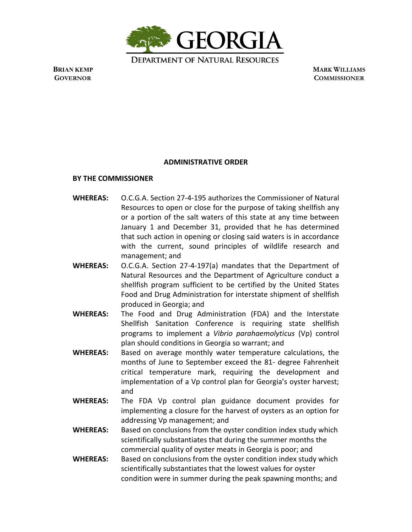

 **BRIAN KEMP MARK WILLIAMS GOVERNOR COMMISSIONER**

### **ADMINISTRATIVE ORDER**

### **BY THE COMMISSIONER**

- **WHEREAS:** O.C.G.A. Section 27-4-195 authorizes the Commissioner of Natural Resources to open or close for the purpose of taking shellfish any or a portion of the salt waters of this state at any time between January 1 and December 31, provided that he has determined that such action in opening or closing said waters is in accordance with the current, sound principles of wildlife research and management; and
- **WHEREAS:** O.C.G.A. Section 27-4-197(a) mandates that the Department of Natural Resources and the Department of Agriculture conduct a shellfish program sufficient to be certified by the United States Food and Drug Administration for interstate shipment of shellfish produced in Georgia; and
- **WHEREAS:** The Food and Drug Administration (FDA) and the Interstate Shellfish Sanitation Conference is requiring state shellfish programs to implement a *Vibrio parahaemolyticus* (Vp) control plan should conditions in Georgia so warrant; and
- **WHEREAS:** Based on average monthly water temperature calculations, the months of June to September exceed the 81- degree Fahrenheit critical temperature mark, requiring the development and implementation of a Vp control plan for Georgia's oyster harvest; and
- **WHEREAS:** The FDA Vp control plan guidance document provides for implementing a closure for the harvest of oysters as an option for addressing Vp management; and
- **WHEREAS:** Based on conclusions from the oyster condition index study which scientifically substantiates that during the summer months the commercial quality of oyster meats in Georgia is poor; and
- **WHEREAS:** Based on conclusions from the oyster condition index study which scientifically substantiates that the lowest values for oyster condition were in summer during the peak spawning months; and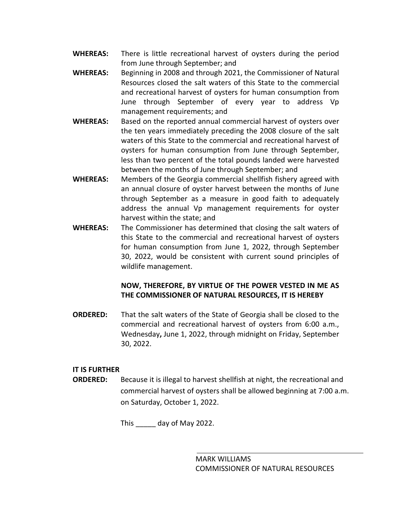- **WHEREAS:** There is little recreational harvest of oysters during the period from June through September; and
- **WHEREAS:** Beginning in 2008 and through 2021, the Commissioner of Natural Resources closed the salt waters of this State to the commercial and recreational harvest of oysters for human consumption from June through September of every year to address Vp management requirements; and
- **WHEREAS:** Based on the reported annual commercial harvest of oysters over the ten years immediately preceding the 2008 closure of the salt waters of this State to the commercial and recreational harvest of oysters for human consumption from June through September, less than two percent of the total pounds landed were harvested between the months of June through September; and
- **WHEREAS:** Members of the Georgia commercial shellfish fishery agreed with an annual closure of oyster harvest between the months of June through September as a measure in good faith to adequately address the annual Vp management requirements for oyster harvest within the state; and
- **WHEREAS:** The Commissioner has determined that closing the salt waters of this State to the commercial and recreational harvest of oysters for human consumption from June 1, 2022, through September 30, 2022, would be consistent with current sound principles of wildlife management.

# **NOW, THEREFORE, BY VIRTUE OF THE POWER VESTED IN ME AS THE COMMISSIONER OF NATURAL RESOURCES, IT IS HEREBY**

**ORDERED:** That the salt waters of the State of Georgia shall be closed to the commercial and recreational harvest of oysters from 6:00 a.m., Wednesday**,** June 1, 2022, through midnight on Friday, September 30, 2022.

## **IT IS FURTHER**

**ORDERED:** Because it is illegal to harvest shellfish at night, the recreational and commercial harvest of oysters shall be allowed beginning at 7:00 a.m. on Saturday, October 1, 2022.

This day of May 2022.

MARK WILLIAMS COMMISSIONER OF NATURAL RESOURCES